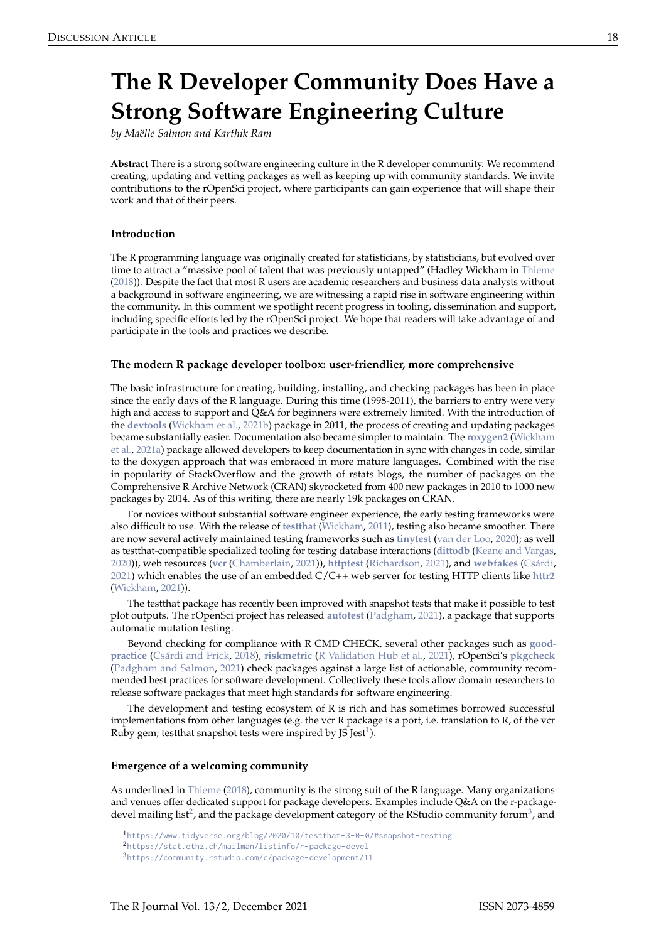# <span id="page-0-1"></span><span id="page-0-0"></span>**The R Developer Community Does Have a Strong Software Engineering Culture**

*by Maëlle Salmon and Karthik Ram*

**Abstract** There is a strong software engineering culture in the R developer community. We recommend creating, updating and vetting packages as well as keeping up with community standards. We invite contributions to the rOpenSci project, where participants can gain experience that will shape their work and that of their peers.

## **Introduction**

The R programming language was originally created for statisticians, by statisticians, but evolved over time to attract a "massive pool of talent that was previously untapped" (Hadley Wickham in [Thieme](#page-3-0) [\(2018\)](#page-3-0)). Despite the fact that most R users are academic researchers and business data analysts without a background in software engineering, we are witnessing a rapid rise in software engineering within the community. In this comment we spotlight recent progress in tooling, dissemination and support, including specific efforts led by the rOpenSci project. We hope that readers will take advantage of and participate in the tools and practices we describe.

#### **The modern R package developer toolbox: user-friendlier, more comprehensive**

The basic infrastructure for creating, building, installing, and checking packages has been in place since the early days of the R language. During this time (1998-2011), the barriers to entry were very high and access to support and Q&A for beginners were extremely limited. With the introduction of the **[devtools](https://CRAN.R-project.org/package=devtools)** [\(Wickham et al.,](#page-3-1) [2021b\)](#page-3-1) package in 2011, the process of creating and updating packages became substantially easier. Documentation also became simpler to maintain. The **[roxygen2](https://CRAN.R-project.org/package=roxygen2)** [\(Wickham](#page-3-2) [et al.,](#page-3-2) [2021a\)](#page-3-2) package allowed developers to keep documentation in sync with changes in code, similar to the doxygen approach that was embraced in more mature languages. Combined with the rise in popularity of StackOverflow and the growth of rstats blogs, the number of packages on the Comprehensive R Archive Network (CRAN) skyrocketed from 400 new packages in 2010 to 1000 new packages by 2014. As of this writing, there are nearly 19k packages on CRAN.

For novices without substantial software engineer experience, the early testing frameworks were also difficult to use. With the release of **[testthat](https://CRAN.R-project.org/package=testthat)** [\(Wickham,](#page-3-3) [2011\)](#page-3-3), testing also became smoother. There are now several actively maintained testing frameworks such as **[tinytest](https://CRAN.R-project.org/package=tinytest)** [\(van der Loo,](#page-3-4) [2020\)](#page-3-4); as well as testthat-compatible specialized tooling for testing database interactions (**[dittodb](https://CRAN.R-project.org/package=dittodb)** [\(Keane and Vargas,](#page-2-0) [2020\)](#page-2-0)), web resources (**[vcr](https://CRAN.R-project.org/package=vcr)** [\(Chamberlain,](#page-2-1) [2021\)](#page-2-1)), **[httptest](https://CRAN.R-project.org/package=httptest)** [\(Richardson,](#page-2-2) [2021\)](#page-2-2), and **[webfakes](https://CRAN.R-project.org/package=webfakes)** [\(Csárdi,](#page-2-3) [2021\)](#page-2-3) which enables the use of an embedded C/C++ web server for testing HTTP clients like **[httr2](https://CRAN.R-project.org/package=httr2)** [\(Wickham,](#page-3-5) [2021\)](#page-3-5)).

The testthat package has recently been improved with snapshot tests that make it possible to test plot outputs. The rOpenSci project has released **[autotest](https://CRAN.R-project.org/package=autotest)** [\(Padgham,](#page-2-4) [2021\)](#page-2-4), a package that supports automatic mutation testing.

Beyond checking for compliance with R CMD CHECK, several other packages such as **[good](https://CRAN.R-project.org/package=goodpractice)[practice](https://CRAN.R-project.org/package=goodpractice)** [\(Csárdi and Frick,](#page-2-5) [2018\)](#page-2-5), **[riskmetric](https://CRAN.R-project.org/package=riskmetric)** [\(R Validation Hub et al.,](#page-2-6) [2021\)](#page-2-6), rOpenSci's **[pkgcheck](https://CRAN.R-project.org/package=pkgcheck)** [\(Padgham and Salmon,](#page-2-7) [2021\)](#page-2-7) check packages against a large list of actionable, community recommended best practices for software development. Collectively these tools allow domain researchers to release software packages that meet high standards for software engineering.

The development and testing ecosystem of R is rich and has sometimes borrowed successful implementations from other languages (e.g. the vcr R package is a port, i.e. translation to R, of the vcr Ruby gem; testthat snapshot tests were inspired by JS Jest $^1$ ).

#### **Emergence of a welcoming community**

As underlined in [Thieme](#page-3-0) [\(2018\)](#page-3-0), community is the strong suit of the R language. Many organizations and venues offer dedicated support for package developers. Examples include Q&A on the r-packagedevel mailing list $^2$ , and the package development category of the RStudio community forum $^3$ , and

<sup>1</sup><https://www.tidyverse.org/blog/2020/10/testthat-3-0-0/#snapshot-testing>

<sup>2</sup><https://stat.ethz.ch/mailman/listinfo/r-package-devel>

<sup>3</sup><https://community.rstudio.com/c/package-development/11>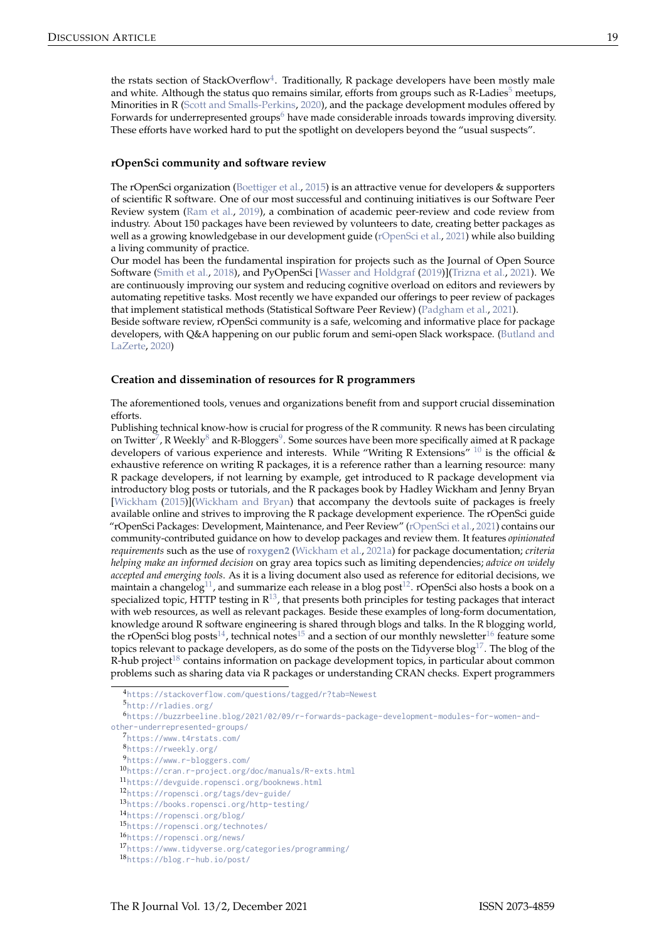<span id="page-1-0"></span>the rstats section of StackOverflow<sup>[4](#page-0-0)</sup>. Traditionally, R package developers have been mostly male and white. Although the status quo remains similar, efforts from groups such as R-Ladies<sup>[5](#page-0-0)</sup> meetups, Minorities in R [\(Scott and Smalls-Perkins,](#page-2-8) [2020\)](#page-2-8), and the package development modules offered by Forwards for underrepresented groups<sup>[6](#page-0-0)</sup> have made considerable inroads towards improving diversity. These efforts have worked hard to put the spotlight on developers beyond the "usual suspects".

### **rOpenSci community and software review**

The rOpenSci organization [\(Boettiger et al.,](#page-2-9) [2015\)](#page-2-9) is an attractive venue for developers & supporters of scientific R software. One of our most successful and continuing initiatives is our Software Peer Review system [\(Ram et al.,](#page-2-10) [2019\)](#page-2-10), a combination of academic peer-review and code review from industry. About 150 packages have been reviewed by volunteers to date, creating better packages as well as a growing knowledgebase in our development guide [\(rOpenSci et al.,](#page-2-11) [2021\)](#page-2-11) while also building a living community of practice.

Our model has been the fundamental inspiration for projects such as the Journal of Open Source Software [\(Smith et al.,](#page-3-6) [2018\)](#page-3-6), and PyOpenSci [\[Wasser and Holdgraf](#page-3-7) [\(2019\)](#page-3-7)][\(Trizna et al.,](#page-3-8) [2021\)](#page-3-8). We are continuously improving our system and reducing cognitive overload on editors and reviewers by automating repetitive tasks. Most recently we have expanded our offerings to peer review of packages that implement statistical methods (Statistical Software Peer Review) [\(Padgham et al.,](#page-2-12) [2021\)](#page-2-12).

Beside software review, rOpenSci community is a safe, welcoming and informative place for package developers, with Q&A happening on our public forum and semi-open Slack workspace. [\(Butland and](#page-2-13) [LaZerte,](#page-2-13) [2020\)](#page-2-13)

## **Creation and dissemination of resources for R programmers**

The aforementioned tools, venues and organizations benefit from and support crucial dissemination efforts.

Publishing technical know-how is crucial for progress of the R community. R news has been circulating on Twitter $^7$  $^7$ , R Weekly $^8$  $^8$  and R-Bloggers $^9$  $^9$ . Some sources have been more specifically aimed at R package developers of various experience and interests. While "Writing R Extensions"  $^{10}$  $^{10}$  $^{10}$  is the official & exhaustive reference on writing R packages, it is a reference rather than a learning resource: many R package developers, if not learning by example, get introduced to R package development via introductory blog posts or tutorials, and the R packages book by Hadley Wickham and Jenny Bryan [\[Wickham](#page-3-9) [\(2015\)](#page-3-9)][\(Wickham and Bryan\)](#page-3-10) that accompany the devtools suite of packages is freely available online and strives to improving the R package development experience. The rOpenSci guide "rOpenSci Packages: Development, Maintenance, and Peer Review" [\(rOpenSci et al.,](#page-2-11) [2021\)](#page-2-11) contains our community-contributed guidance on how to develop packages and review them. It features *opinionated requirements* such as the use of **[roxygen2](https://CRAN.R-project.org/package=roxygen2)** [\(Wickham et al.,](#page-3-2) [2021a\)](#page-3-2) for package documentation; *criteria helping make an informed decision* on gray area topics such as limiting dependencies; *advice on widely accepted and emerging tools*. As it is a living document also used as reference for editorial decisions, we maintain a changelog<sup>[11](#page-0-0)</sup>, and summarize each release in a blog post<sup>[12](#page-0-0)</sup>. rOpenSci also hosts a book on a specialized topic, HTTP testing in  $R^{13}$  $R^{13}$  $R^{13}$ , that presents both principles for testing packages that interact with web resources, as well as relevant packages. Beside these examples of long-form documentation, knowledge around R software engineering is shared through blogs and talks. In the R blogging world, the rOpenSci blog posts<sup>[14](#page-0-0)</sup>, technical notes<sup>[15](#page-0-0)</sup> and a section of our monthly newsletter<sup>[16](#page-0-0)</sup> feature some topics relevant to package developers, as do some of the posts on the Tidyverse blog<sup>[17](#page-0-0)</sup>. The blog of the  $R$ -hub project<sup>[18](#page-0-0)</sup> contains information on package development topics, in particular about common problems such as sharing data via R packages or understanding CRAN checks. Expert programmers

<sup>4</sup><https://stackoverflow.com/questions/tagged/r?tab=Newest> <sup>5</sup><http://rladies.org/> 6[https://buzzrbeeline.blog/2021/02/09/r-forwards-package-development-modules-for-women-and](https://buzzrbeeline.blog/2021/02/09/r-forwards-package-development-modules-for-women-and-other-underrepresented-groups/)[other-underrepresented-groups/](https://buzzrbeeline.blog/2021/02/09/r-forwards-package-development-modules-for-women-and-other-underrepresented-groups/) <sup>7</sup><https://www.t4rstats.com/> <sup>8</sup><https://rweekly.org/> <sup>9</sup><https://www.r-bloggers.com/> <sup>10</sup><https://cran.r-project.org/doc/manuals/R-exts.html> <sup>11</sup><https://devguide.ropensci.org/booknews.html> <sup>12</sup><https://ropensci.org/tags/dev-guide/> <sup>13</sup><https://books.ropensci.org/http-testing/> <sup>14</sup><https://ropensci.org/blog/> <sup>15</sup><https://ropensci.org/technotes/> <sup>16</sup><https://ropensci.org/news/> <sup>17</sup><https://www.tidyverse.org/categories/programming/> <sup>18</sup><https://blog.r-hub.io/post/>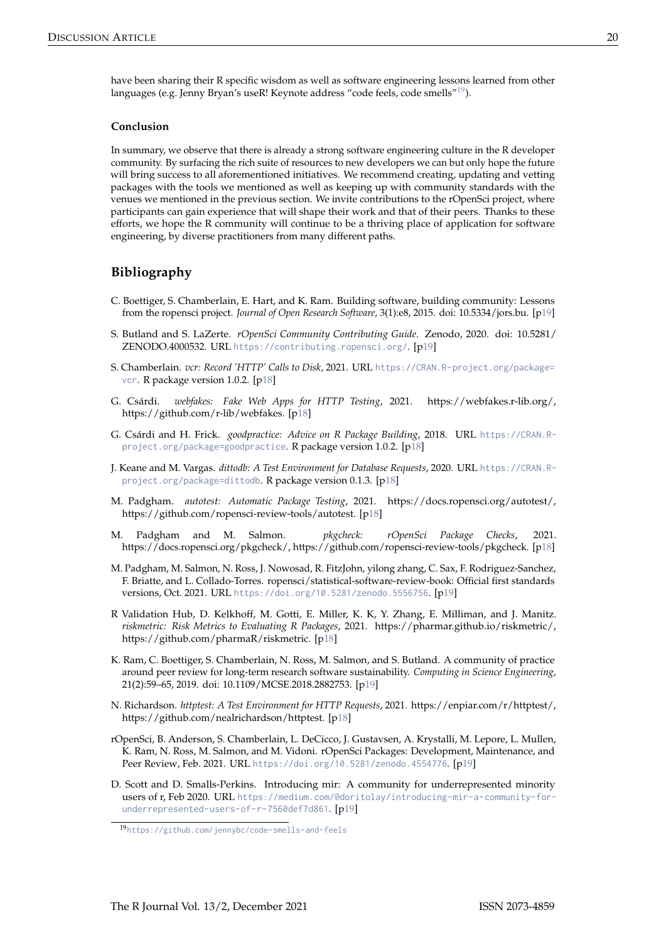### **Conclusion**

In summary, we observe that there is already a strong software engineering culture in the R developer community. By surfacing the rich suite of resources to new developers we can but only hope the future will bring success to all aforementioned initiatives. We recommend creating, updating and vetting packages with the tools we mentioned as well as keeping up with community standards with the venues we mentioned in the previous section. We invite contributions to the rOpenSci project, where participants can gain experience that will shape their work and that of their peers. Thanks to these efforts, we hope the R community will continue to be a thriving place of application for software engineering, by diverse practitioners from many different paths.

# **Bibliography**

- <span id="page-2-9"></span>C. Boettiger, S. Chamberlain, E. Hart, and K. Ram. Building software, building community: Lessons from the ropensci project. *Journal of Open Research Software*, 3(1):e8, 2015. doi: 10.5334/jors.bu. [[p19\]](#page-1-0)
- <span id="page-2-13"></span>S. Butland and S. LaZerte. *rOpenSci Community Contributing Guide*. Zenodo, 2020. doi: 10.5281/ ZENODO.4000532. URL <https://contributing.ropensci.org/>. [[p19\]](#page-1-0)
- <span id="page-2-1"></span>S. Chamberlain. *vcr: Record 'HTTP' Calls to Disk*, 2021. URL [https://CRAN.R-project.org/package=](https://CRAN.R-project.org/package=vcr) [vcr](https://CRAN.R-project.org/package=vcr). R package version 1.0.2. [[p18\]](#page-0-1)
- <span id="page-2-3"></span>G. Csárdi. *webfakes: Fake Web Apps for HTTP Testing*, 2021. https://webfakes.r-lib.org/, https://github.com/r-lib/webfakes. [[p18\]](#page-0-1)
- <span id="page-2-5"></span>G. Csárdi and H. Frick. *goodpractice: Advice on R Package Building*, 2018. URL [https://CRAN.R](https://CRAN.R-project.org/package=goodpractice)[project.org/package=goodpractice](https://CRAN.R-project.org/package=goodpractice). R package version 1.0.2. [[p18\]](#page-0-1)
- <span id="page-2-0"></span>J. Keane and M. Vargas. *dittodb: A Test Environment for Database Requests*, 2020. URL [https://CRAN.R](https://CRAN.R-project.org/package=dittodb)[project.org/package=dittodb](https://CRAN.R-project.org/package=dittodb). R package version 0.1.3. [[p18\]](#page-0-1)
- <span id="page-2-4"></span>M. Padgham. *autotest: Automatic Package Testing*, 2021. https://docs.ropensci.org/autotest/, https://github.com/ropensci-review-tools/autotest. [[p18\]](#page-0-1)
- <span id="page-2-7"></span>M. Padgham and M. Salmon. *pkgcheck: rOpenSci Package Checks*, 2021. https://docs.ropensci.org/pkgcheck/, https://github.com/ropensci-review-tools/pkgcheck. [[p18\]](#page-0-1)
- <span id="page-2-12"></span>M. Padgham, M. Salmon, N. Ross, J. Nowosad, R. FitzJohn, yilong zhang, C. Sax, F. Rodriguez-Sanchez, F. Briatte, and L. Collado-Torres. ropensci/statistical-software-review-book: Official first standards versions, Oct. 2021. URL <https://doi.org/10.5281/zenodo.5556756>. [[p19\]](#page-1-0)
- <span id="page-2-6"></span>R Validation Hub, D. Kelkhoff, M. Gotti, E. Miller, K. K, Y. Zhang, E. Milliman, and J. Manitz. *riskmetric: Risk Metrics to Evaluating R Packages*, 2021. https://pharmar.github.io/riskmetric/, https://github.com/pharmaR/riskmetric. [[p18\]](#page-0-1)
- <span id="page-2-10"></span>K. Ram, C. Boettiger, S. Chamberlain, N. Ross, M. Salmon, and S. Butland. A community of practice around peer review for long-term research software sustainability. *Computing in Science Engineering*, 21(2):59–65, 2019. doi: 10.1109/MCSE.2018.2882753. [[p19\]](#page-1-0)
- <span id="page-2-2"></span>N. Richardson. *httptest: A Test Environment for HTTP Requests*, 2021. https://enpiar.com/r/httptest/, https://github.com/nealrichardson/httptest. [[p18\]](#page-0-1)
- <span id="page-2-11"></span>rOpenSci, B. Anderson, S. Chamberlain, L. DeCicco, J. Gustavsen, A. Krystalli, M. Lepore, L. Mullen, K. Ram, N. Ross, M. Salmon, and M. Vidoni. rOpenSci Packages: Development, Maintenance, and Peer Review, Feb. 2021. URL <https://doi.org/10.5281/zenodo.4554776>. [[p19\]](#page-1-0)
- <span id="page-2-8"></span>D. Scott and D. Smalls-Perkins. Introducing mir: A community for underrepresented minority users of r, Feb 2020. URL [https://medium.com/@doritolay/introducing-mir-a-community-for](https://medium.com/@doritolay/introducing-mir-a-community-for-underrepresented-users-of-r-7560def7d861)[underrepresented-users-of-r-7560def7d861](https://medium.com/@doritolay/introducing-mir-a-community-for-underrepresented-users-of-r-7560def7d861). [[p19\]](#page-1-0)

<sup>19</sup><https://github.com/jennybc/code-smells-and-feels>